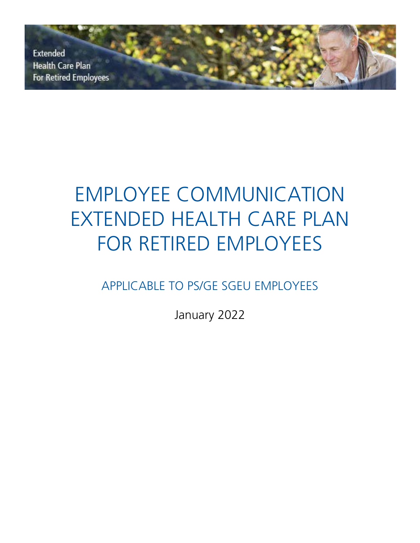**Extended Health Care Plan For Retired Employees** 

# EMPLOYEE COMMUNICATION EXTENDED HEALTH CARE PLAN FOR RETIRED EMPLOYEES

APPLICABLE TO PS/GE SGEU EMPLOYEES

January 2022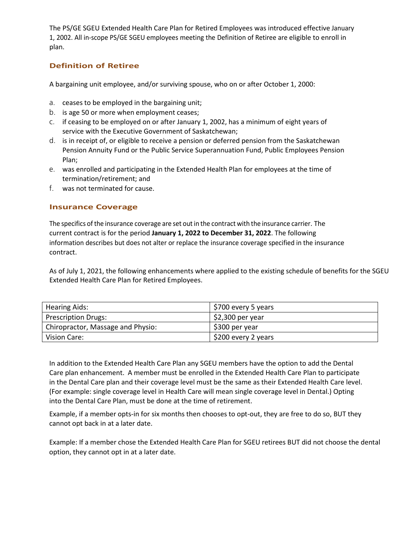The PS/GE SGEU Extended Health Care Plan for Retired Employees was introduced effective January 1, 2002. All in-scope PS/GE SGEU employees meeting the Definition of Retiree are eligible to enroll in plan.

## **Definition of Retiree**

A bargaining unit employee, and/or surviving spouse, who on or after October 1, 2000:

- a. ceases to be employed in the bargaining unit;
- b. is age 50 or more when employment ceases;
- c. if ceasing to be employed on or after January 1, 2002, has a minimum of eight years of service with the Executive Government of Saskatchewan;
- d. is in receipt of, or eligible to receive a pension or deferred pension from the Saskatchewan Pension Annuity Fund or the Public Service Superannuation Fund, Public Employees Pension Plan;
- e. was enrolled and participating in the Extended Health Plan for employees at the time of termination/retirement; and
- f. was not terminated for cause.

#### **Insurance Coverage**

The specifics ofthe insurance coverage are set out in the contract with the insurance carrier. The current contract is for the period **January 1, 2022 to December 31, 2022**. The following information describes but does not alter or replace the insurance coverage specified in the insurance contract.

As of July 1, 2021, the following enhancements where applied to the existing schedule of benefits for the SGEU Extended Health Care Plan for Retired Employees.

| <b>Hearing Aids:</b>              | S700 every 5 years             |
|-----------------------------------|--------------------------------|
| <b>Prescription Drugs:</b>        | $\frac{1}{2}$ \$2,300 per year |
| Chiropractor, Massage and Physio: | \$300 per year                 |
| Vision Care:                      | S200 every 2 years             |

In addition to the Extended Health Care Plan any SGEU members have the option to add the Dental Care plan enhancement. A member must be enrolled in the Extended Health Care Plan to participate in the Dental Care plan and their coverage level must be the same as their Extended Health Care level. (For example: single coverage level in Health Care will mean single coverage level in Dental.) Opting into the Dental Care Plan, must be done at the time of retirement.

Example, if a member opts-in for six months then chooses to opt-out, they are free to do so, BUT they cannot opt back in at a later date.

Example: If a member chose the Extended Health Care Plan for SGEU retirees BUT did not choose the dental option, they cannot opt in at a later date.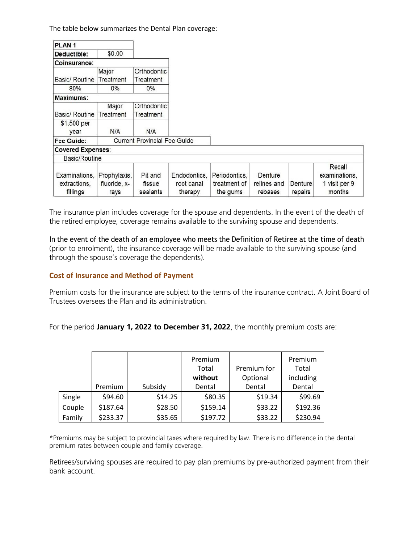The table below summarizes the Dental Plan coverage:

| PLAN <sub>1</sub>                         |                                      |                               |                                       |                                           |                                   |                    |                                                    |
|-------------------------------------------|--------------------------------------|-------------------------------|---------------------------------------|-------------------------------------------|-----------------------------------|--------------------|----------------------------------------------------|
| Deductible:                               | \$0.00                               |                               |                                       |                                           |                                   |                    |                                                    |
| Coinsurance:                              |                                      |                               |                                       |                                           |                                   |                    |                                                    |
|                                           | Major                                | Orthodontic                   |                                       |                                           |                                   |                    |                                                    |
| Basic/ Routine                            | Treatment                            | Treatment                     |                                       |                                           |                                   |                    |                                                    |
| 80%                                       | $0\%$                                | $0\%$                         |                                       |                                           |                                   |                    |                                                    |
| Maximums:                                 |                                      |                               |                                       |                                           |                                   |                    |                                                    |
|                                           | Major                                | Orthodontic                   |                                       |                                           |                                   |                    |                                                    |
| Basic/ Routine                            | Treatment                            | Treatment                     |                                       |                                           |                                   |                    |                                                    |
| \$1,500 per<br>year                       | N/A                                  | N/A                           |                                       |                                           |                                   |                    |                                                    |
| Fee Guide:                                | <b>Current Provincial Fee Guide</b>  |                               |                                       |                                           |                                   |                    |                                                    |
| <b>Covered Expenses:</b>                  |                                      |                               |                                       |                                           |                                   |                    |                                                    |
| Basic/Routine                             |                                      |                               |                                       |                                           |                                   |                    |                                                    |
| Examinations,<br>extractions,<br>fillings | Prophylaxis,<br>fluoride, x-<br>rays | Pit and<br>fissue<br>sealants | Endodontics,<br>root canal<br>therapy | Periodontics,<br>treatment of<br>the gums | Denture<br>relines and<br>rebases | Denture<br>repairs | Recall<br>examinations,<br>1 visit per 9<br>months |

The insurance plan includes coverage for the spouse and dependents. In the event of the death of the retired employee, coverage remains available to the surviving spouse and dependents.

In the event of the death of an employee who meets the Definition of Retiree at the time of death (prior to enrolment), the insurance coverage will be made available to the surviving spouse (and through the spouse's coverage the dependents).

## **Cost of Insurance and Method of Payment**

Premium costs for the insurance are subject to the terms of the insurance contract. A Joint Board of Trustees oversees the Plan and its administration.

For the period **January 1, 2022 to December 31, 2022**, the monthly premium costs are:

|        |          |         | Premium  |             | Premium   |
|--------|----------|---------|----------|-------------|-----------|
|        |          |         | Total    | Premium for | Total     |
|        |          |         | without  | Optional    | including |
|        | Premium  | Subsidy | Dental   | Dental      | Dental    |
| Single | \$94.60  | \$14.25 | \$80.35  | \$19.34     | \$99.69   |
| Couple | \$187.64 | \$28.50 | \$159.14 | \$33.22     | \$192.36  |
| Family | \$233.37 | \$35.65 | \$197.72 | \$33.22     | \$230.94  |

\*Premiums may be subject to provincial taxes where required by law. There is no difference in the dental premium rates between couple and family coverage.

Retirees/surviving spouses are required to pay plan premiums by pre-authorized payment from their bank account.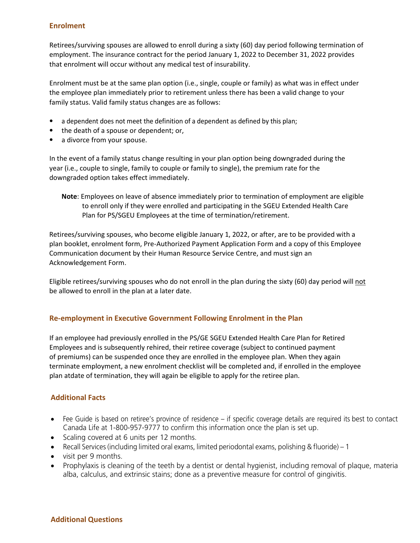#### **Enrolment**

Retirees/surviving spouses are allowed to enroll during a sixty (60) day period following termination of employment. The insurance contract for the period January 1, 2022 to December 31, 2022 provides that enrolment will occur without any medical test of insurability.

Enrolment must be at the same plan option (i.e., single, couple or family) as what was in effect under the employee plan immediately prior to retirement unless there has been a valid change to your family status. Valid family status changes are as follows:

- a dependent does not meet the definition of a dependent as defined by this plan;
- the death of a spouse or dependent; or,
- a divorce from your spouse.

In the event of a family status change resulting in your plan option being downgraded during the year (i.e., couple to single, family to couple or family to single), the premium rate for the downgraded option takes effect immediately.

**Note**: Employees on leave of absence immediately prior to termination of employment are eligible to enroll only if they were enrolled and participating in the SGEU Extended Health Care Plan for PS/SGEU Employees at the time of termination/retirement.

Retirees/surviving spouses, who become eligible January 1, 2022, or after, are to be provided with a plan booklet, enrolment form, Pre-Authorized Payment Application Form and a copy of this Employee Communication document by their Human Resource Service Centre, and must sign an Acknowledgement Form.

Eligible retirees/surviving spouses who do not enroll in the plan during the sixty (60) day period will not be allowed to enroll in the plan at a later date.

## **Re-employment in Executive Government Following Enrolment in the Plan**

If an employee had previously enrolled in the PS/GE SGEU Extended Health Care Plan for Retired Employees and is subsequently rehired, their retiree coverage (subject to continued payment of premiums) can be suspended once they are enrolled in the employee plan. When they again terminate employment, a new enrolment checklist will be completed and, if enrolled in the employee plan atdate of termination, they will again be eligible to apply for the retiree plan.

## **Additional Facts**

- Fee Guide is based on retiree's province of residence if specific coverage details are required its best to contact Canada Life at 1-800-957-9777 to confirm this information once the plan is set up.
- Scaling covered at 6 units per 12 months.
- Recall Services (including limited oral exams, limited periodontal exams, polishing & fluoride) 1
- visit per 9 months.
- Prophylaxis is cleaning of the teeth by a dentist or dental hygienist, including removal of plaque, materia alba, calculus, and extrinsic stains; done as a preventive measure for control of gingivitis.